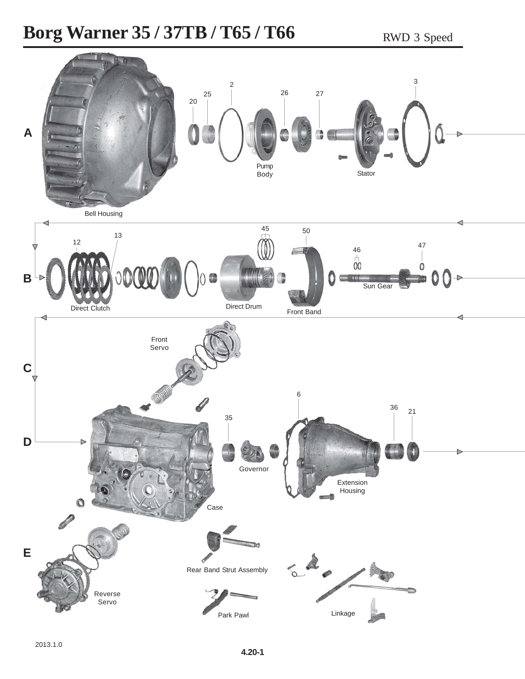## **Borg Warner 35 / 37TB / T65 / T66** RWD 3 Speed

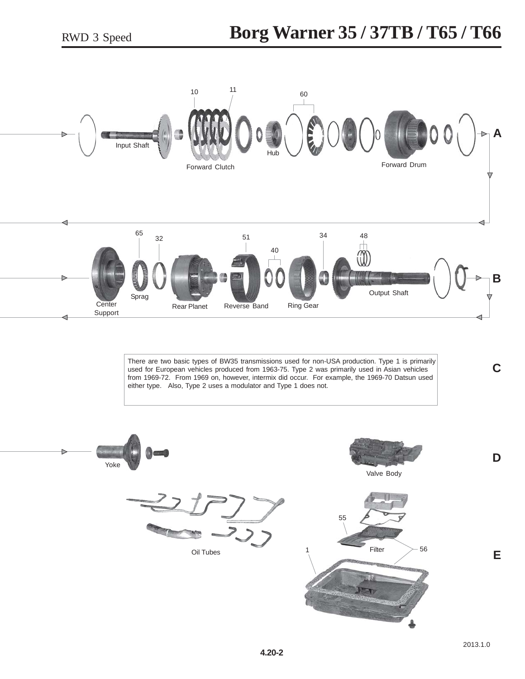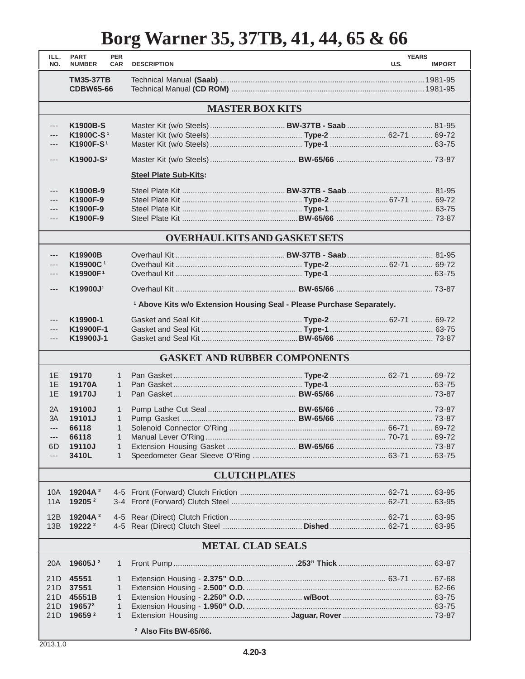## **Borg Warner 35, 37TB, 41, 44, 65 & 66**

| ILL.<br>NO.                          | <b>PART</b><br><b>NUMBER</b>              | <b>PER</b><br><b>CAR</b> | <b>DESCRIPTION</b>                                                               |  | <b>YEARS</b><br>U.S. | <b>IMPORT</b> |  |  |  |  |  |
|--------------------------------------|-------------------------------------------|--------------------------|----------------------------------------------------------------------------------|--|----------------------|---------------|--|--|--|--|--|
|                                      |                                           |                          |                                                                                  |  |                      |               |  |  |  |  |  |
|                                      | <b>TM35-37TB</b>                          |                          |                                                                                  |  |                      |               |  |  |  |  |  |
|                                      | <b>CDBW65-66</b>                          |                          |                                                                                  |  |                      |               |  |  |  |  |  |
| <b>MASTER BOX KITS</b>               |                                           |                          |                                                                                  |  |                      |               |  |  |  |  |  |
| ---                                  | K1900B-S                                  |                          |                                                                                  |  |                      |               |  |  |  |  |  |
| ---                                  | K1900C-S <sup>1</sup>                     |                          |                                                                                  |  |                      |               |  |  |  |  |  |
| ---                                  | K1900F-S <sup>1</sup>                     |                          |                                                                                  |  |                      |               |  |  |  |  |  |
| ---                                  | K1900J-S <sup>1</sup>                     |                          |                                                                                  |  |                      |               |  |  |  |  |  |
|                                      |                                           |                          | <b>Steel Plate Sub-Kits:</b>                                                     |  |                      |               |  |  |  |  |  |
| ---                                  | K1900B-9                                  |                          |                                                                                  |  |                      |               |  |  |  |  |  |
| ---                                  | K1900F-9                                  |                          |                                                                                  |  |                      |               |  |  |  |  |  |
| ---                                  | K1900F-9                                  |                          |                                                                                  |  |                      |               |  |  |  |  |  |
| ---                                  | K1900F-9                                  |                          |                                                                                  |  |                      |               |  |  |  |  |  |
| <b>OVERHAUL KITS AND GASKET SETS</b> |                                           |                          |                                                                                  |  |                      |               |  |  |  |  |  |
|                                      |                                           |                          |                                                                                  |  |                      |               |  |  |  |  |  |
| $---$                                | K19900B                                   |                          |                                                                                  |  |                      |               |  |  |  |  |  |
| $---$                                | K19900C <sup>1</sup>                      |                          |                                                                                  |  |                      |               |  |  |  |  |  |
| ---                                  | K19900F <sup>1</sup>                      |                          |                                                                                  |  |                      |               |  |  |  |  |  |
| $---$                                | K19900J <sup>1</sup>                      |                          |                                                                                  |  |                      |               |  |  |  |  |  |
|                                      |                                           |                          | <sup>1</sup> Above Kits w/o Extension Housing Seal - Please Purchase Separately. |  |                      |               |  |  |  |  |  |
| ---                                  | K19900-1                                  |                          |                                                                                  |  |                      |               |  |  |  |  |  |
| ---                                  | K19900F-1                                 |                          |                                                                                  |  |                      |               |  |  |  |  |  |
| ---                                  | K19900J-1                                 |                          |                                                                                  |  |                      |               |  |  |  |  |  |
| <b>GASKET AND RUBBER COMPONENTS</b>  |                                           |                          |                                                                                  |  |                      |               |  |  |  |  |  |
| 1E                                   | 19170                                     | 1                        |                                                                                  |  |                      |               |  |  |  |  |  |
| 1E                                   | 19170A                                    | $\mathbf{1}$             |                                                                                  |  |                      |               |  |  |  |  |  |
| 1E                                   | 19170J                                    | $\mathbf{1}$             |                                                                                  |  |                      |               |  |  |  |  |  |
| 2A                                   | 19100J                                    | 1                        |                                                                                  |  |                      |               |  |  |  |  |  |
| 3A                                   | 19101J                                    | 1                        |                                                                                  |  |                      |               |  |  |  |  |  |
| $\overline{a}$                       | 66118                                     | $\mathbf{1}$             |                                                                                  |  |                      |               |  |  |  |  |  |
| ---                                  | 66118                                     | $\mathbf{1}$             |                                                                                  |  |                      |               |  |  |  |  |  |
| 6D                                   | 19110J                                    | 1                        |                                                                                  |  |                      |               |  |  |  |  |  |
| ---                                  | 3410L                                     | 1                        |                                                                                  |  |                      |               |  |  |  |  |  |
|                                      |                                           |                          | <b>CLUTCH PLATES</b>                                                             |  |                      |               |  |  |  |  |  |
| 10A                                  | 19204A <sup>2</sup>                       |                          |                                                                                  |  |                      |               |  |  |  |  |  |
| <b>11A</b>                           | 19205 $2$                                 |                          |                                                                                  |  |                      |               |  |  |  |  |  |
|                                      |                                           |                          |                                                                                  |  |                      |               |  |  |  |  |  |
| 12B                                  | 19204A <sup>2</sup><br>19222 <sup>2</sup> |                          |                                                                                  |  |                      |               |  |  |  |  |  |
| 13B                                  |                                           |                          |                                                                                  |  |                      |               |  |  |  |  |  |
|                                      |                                           |                          | <b>METAL CLAD SEALS</b>                                                          |  |                      |               |  |  |  |  |  |
| 20A                                  | 19605J <sup>2</sup>                       | 1                        |                                                                                  |  |                      |               |  |  |  |  |  |
| 21D                                  | 45551                                     | 1                        |                                                                                  |  |                      |               |  |  |  |  |  |
| 21D                                  | 37551                                     | 1                        |                                                                                  |  |                      |               |  |  |  |  |  |
| 21D                                  | 45551B                                    | 1                        |                                                                                  |  |                      |               |  |  |  |  |  |
| 21D                                  | 196572                                    | 1                        |                                                                                  |  |                      |               |  |  |  |  |  |
| 21D                                  | 19659 2                                   | 1                        |                                                                                  |  |                      |               |  |  |  |  |  |
| <sup>2</sup> Also Fits BW-65/66.     |                                           |                          |                                                                                  |  |                      |               |  |  |  |  |  |